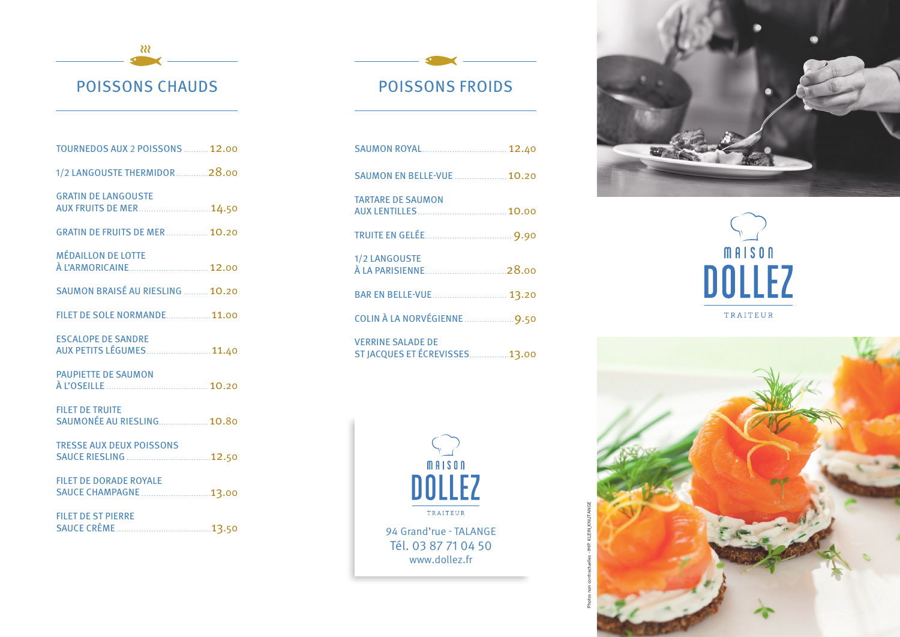- २२२ POISSONS CHAUDS

## **TOURNEDOS AUX 2 POISSONS .......... 12.00** 1/2 LANGOUSTE THERMIDOR ............. 28.00 GRATIN DE LANGOUSTE AUX FRUITS DE MER.............................14.50 **GRATIN DE FRUITS DE MER ................ 10.20** MÉDAILLON DE LOTTE À L'ARMORICAINE . . . . . . . . . . . . . . . . . . . . . . . . . . . . . . . . 12.00 SAUMON BRAISÉ AU RIESLING .......... 10.20 FILET DE SOLE NORMANDE .................. 11.00 ESCALOPE DE SANDRE AUX PETITS LÉGUMES ........................ 11.40 PAUPIETTE DE SAUMON À L'OSEILLE . . . . . . . . . . . . . . . . . . . . . . . . . . . . . . . . . . . . . . . . . 10.20 FILET DE TRUITE SAUMONÉE AU RIESLING ................... 10.80 TRESSE AUX DEUX POISSONS SAUCE RIESLING . . . . . . . . . . . . . . . . . . . . . . . . . . . . . . . . . 12.50 FILET DE DORADE ROYALE

SAUCE CHAMPAGNE . . . . . . . . . . . . . . . . . . . . . . . . . . . 13.00 FILET DE ST PIERRE

SAUCE CRÈME . . . . . . . . . . . . . . . . . . . . . . . . . . . . . . . . . . . . . .13.50

## POISSONS FROIDS

| SAUMON ROYAL 12.40                                        |  |
|-----------------------------------------------------------|--|
| <b>SAUMON EN BELLE-VUE  10.20</b>                         |  |
| <b>TARTARE DE SAUMON</b>                                  |  |
|                                                           |  |
| 1/2 LANGOUSTE<br>À LA PARISIENNE 28.00                    |  |
| BAR EN BELLE-VUE 13.20                                    |  |
| COLIN À LA NORVÉGIENNE 9.50                               |  |
| <b>VERRINE SALADE DE</b><br>ST JACQUES ET ÉCREVISSES13.00 |  |



94 Grand'rue - TALANGE Tél. 03 87 71 04 50 www.dollez.fr